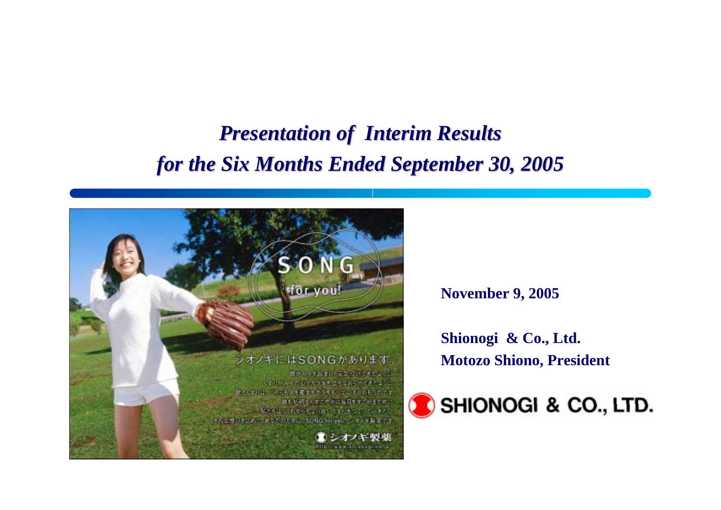## *Presentation of Interim Results Presentation of Interim Results for the Six Months Ended September 30, 2005*



**November 9, 2005**

**Shionogi & Co., Ltd. Motozo Shiono, President**

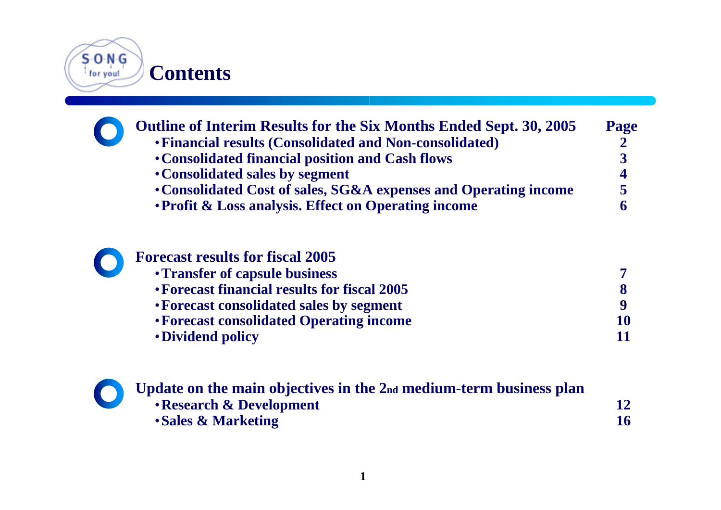

| <b>Outline of Interim Results for the Six Months Ended Sept. 30, 2005</b> | Page |
|---------------------------------------------------------------------------|------|
| • Financial results (Consolidated and Non-consolidated)                   |      |
| • Consolidated financial position and Cash flows                          |      |
| • Consolidated sales by segment                                           | 4    |
| • Consolidated Cost of sales, SG&A expenses and Operating income          | 5    |
| • Profit & Loss analysis. Effect on Operating income                      |      |
|                                                                           |      |
|                                                                           |      |

| <b>Forecast results for fiscal 2005</b>      |    |
|----------------------------------------------|----|
| • Transfer of capsule business               |    |
| • Forecast financial results for fiscal 2005 |    |
| • Forecast consolidated sales by segment     |    |
| • Forecast consolidated Operating income     | 10 |
| • Dividend policy                            |    |
|                                              |    |

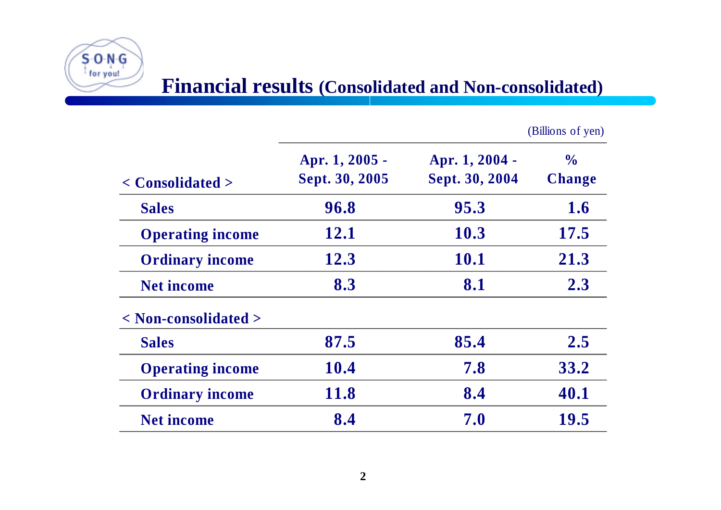

|                                      |                                  |                                  | (Billions of yen)              |
|--------------------------------------|----------------------------------|----------------------------------|--------------------------------|
| $\langle$ Consolidated $\rangle$     | Apr. 1, 2005 -<br>Sept. 30, 2005 | Apr. 1, 2004 -<br>Sept. 30, 2004 | $\frac{0}{0}$<br><b>Change</b> |
| <b>Sales</b>                         | 96.8                             | 95.3                             | 1.6                            |
| <b>Operating income</b>              | 12.1                             | 10.3                             | 17.5                           |
| <b>Ordinary income</b>               | 12.3                             | <b>10.1</b>                      | 21.3                           |
| <b>Net income</b>                    | 8.3                              | 8.1                              | 2.3                            |
| $\langle$ Non-consolidated $\rangle$ |                                  |                                  |                                |
| <b>Sales</b>                         | 87.5                             | 85.4                             | 2.5                            |
| <b>Operating income</b>              | 10.4                             | 7.8                              | 33.2                           |
| <b>Ordinary income</b>               | 11.8                             | 8.4                              | 40.1                           |
| <b>Net income</b>                    | 8.4                              | 7.0                              | 19.5                           |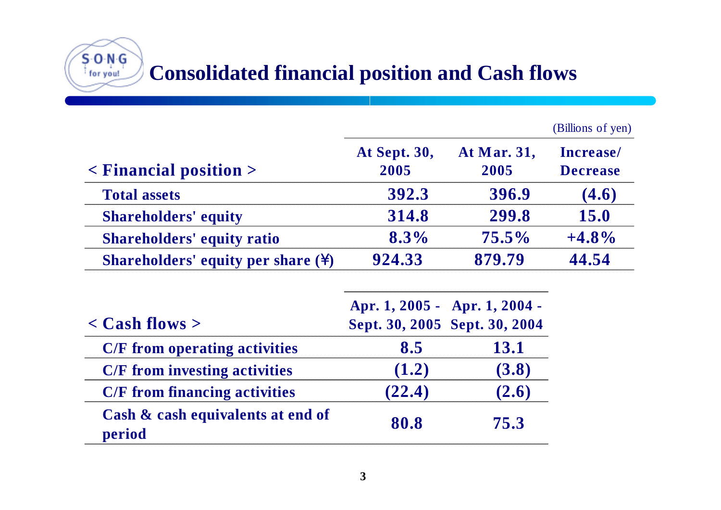

|                      |                     | (Billions of yen)                                              |
|----------------------|---------------------|----------------------------------------------------------------|
| At Sept. 30,<br>2005 | At Mar. 31,<br>2005 | Increase/<br><b>Decrease</b>                                   |
| 392.3                | 396.9               | (4.6)                                                          |
| 314.8                | 299.8               | <b>15.0</b>                                                    |
| $8.3\%$              | $75.5\%$            | $+4.8\%$                                                       |
| 924.33               | 879.79              | 44.54                                                          |
|                      |                     |                                                                |
| 8.5                  | 13.1                |                                                                |
| (1.2)                | (3.8)               |                                                                |
| (22.4)               | (2.6)               |                                                                |
| 80.8                 | 75.3                |                                                                |
|                      |                     | Apr. 1, 2005 - Apr. 1, 2004 -<br>Sept. 30, 2005 Sept. 30, 2004 |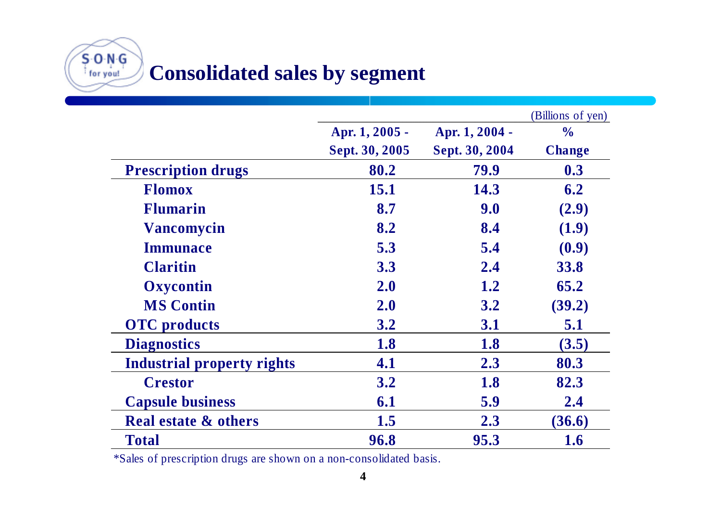**Consolidated sales by segment**

 $S$  O N  $G$ for you!

|                                   |                |                | (Billions of yen) |
|-----------------------------------|----------------|----------------|-------------------|
|                                   | Apr. 1, 2005 - | Apr. 1, 2004 - | $\frac{0}{0}$     |
|                                   | Sept. 30, 2005 | Sept. 30, 2004 | <b>Change</b>     |
| <b>Prescription drugs</b>         | 80.2           | 79.9           | 0.3               |
| <b>Flomox</b>                     | 15.1           | 14.3           | 6.2               |
| <b>Flumarin</b>                   | 8.7            | 9.0            | (2.9)             |
| <b>Vancomycin</b>                 | 8.2            | 8.4            | (1.9)             |
| <b>Immunace</b>                   | 5.3            | 5.4            | (0.9)             |
| <b>Claritin</b>                   | 3.3            | 2.4            | <b>33.8</b>       |
| Oxycontin                         | 2.0            | 1.2            | 65.2              |
| <b>MS Contin</b>                  | 2.0            | 3.2            | (39.2)            |
| <b>OTC</b> products               | 3.2            | 3.1            | 5.1               |
| <b>Diagnostics</b>                | 1.8            | 1.8            | (3.5)             |
| <b>Industrial property rights</b> | 4.1            | 2.3            | 80.3              |
| <b>Crestor</b>                    | 3.2            | 1.8            | 82.3              |
| <b>Capsule business</b>           | 6.1            | 5.9            | 2.4               |
| <b>Real estate &amp; others</b>   | 1.5            | 2.3            | (36.6)            |
| <b>Total</b>                      | 96.8           | 95.3           | 1.6               |

\*Sales of prescription drugs are shown on a non-consolidated basis.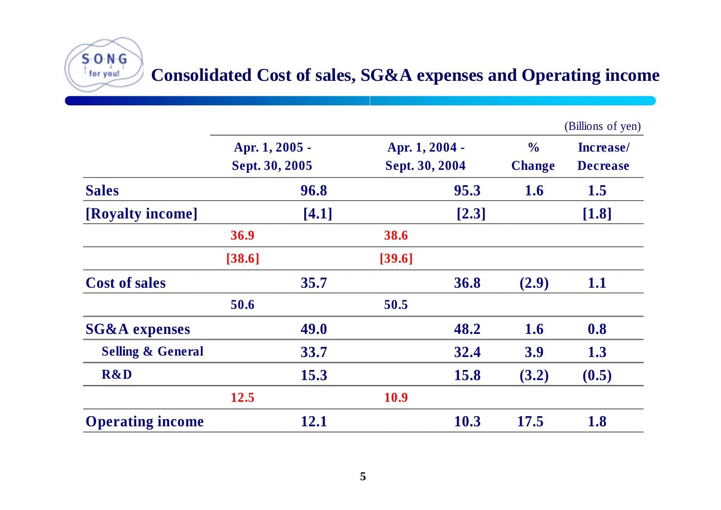

|                              |                                  |       |                                  |       |                                | (Billions of yen)            |
|------------------------------|----------------------------------|-------|----------------------------------|-------|--------------------------------|------------------------------|
|                              | Apr. 1, 2005 -<br>Sept. 30, 2005 |       | Apr. 1, 2004 -<br>Sept. 30, 2004 |       | $\frac{0}{0}$<br><b>Change</b> | Increase/<br><b>Decrease</b> |
|                              |                                  |       |                                  |       |                                |                              |
| <b>Sales</b>                 |                                  | 96.8  |                                  | 95.3  | 1.6                            | 1.5                          |
| [Royalty income]             |                                  | [4.1] |                                  | [2.3] |                                | [1.8]                        |
|                              | 36.9                             |       | 38.6                             |       |                                |                              |
|                              | [38.6]                           |       | [39.6]                           |       |                                |                              |
| <b>Cost of sales</b>         |                                  | 35.7  |                                  | 36.8  | (2.9)                          | 1.1                          |
|                              | 50.6                             |       | 50.5                             |       |                                |                              |
| <b>SG&amp;A</b> expenses     |                                  | 49.0  |                                  | 48.2  | 1.6                            | 0.8                          |
| <b>Selling &amp; General</b> |                                  | 33.7  |                                  | 32.4  | <b>3.9</b>                     | 1.3                          |
| <b>R&amp;D</b>               |                                  | 15.3  |                                  | 15.8  | (3.2)                          | (0.5)                        |
|                              | 12.5                             |       | <b>10.9</b>                      |       |                                |                              |
| <b>Operating income</b>      |                                  | 12.1  |                                  | 10.3  | 17.5                           | 1.8                          |

for you!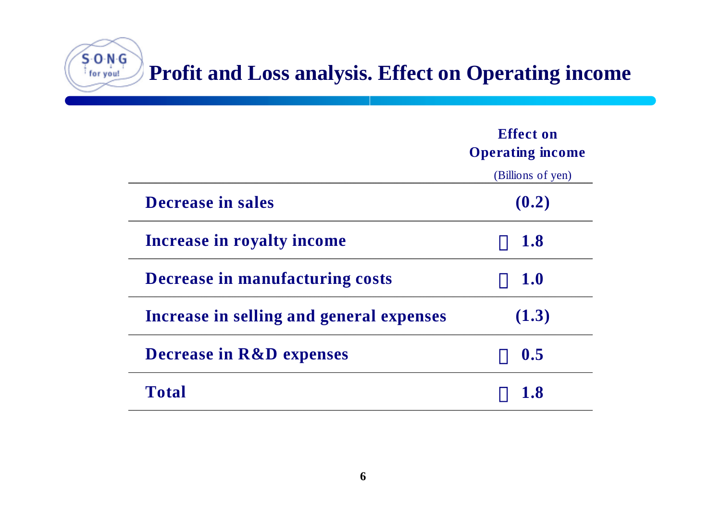**Profit and Loss analysis. Effect on Operating income**

|                                          | <b>Effect on</b><br><b>Operating income</b> |
|------------------------------------------|---------------------------------------------|
|                                          | (Billions of yen)                           |
| <b>Decrease in sales</b>                 | (0.2)                                       |
| <b>Increase in royalty income</b>        | <b>1.8</b>                                  |
| Decrease in manufacturing costs          | <b>1.0</b>                                  |
| Increase in selling and general expenses | (1.3)                                       |
| <b>Decrease in R&amp;D expenses</b>      | 0.5                                         |
| <b>Total</b>                             | 1.8                                         |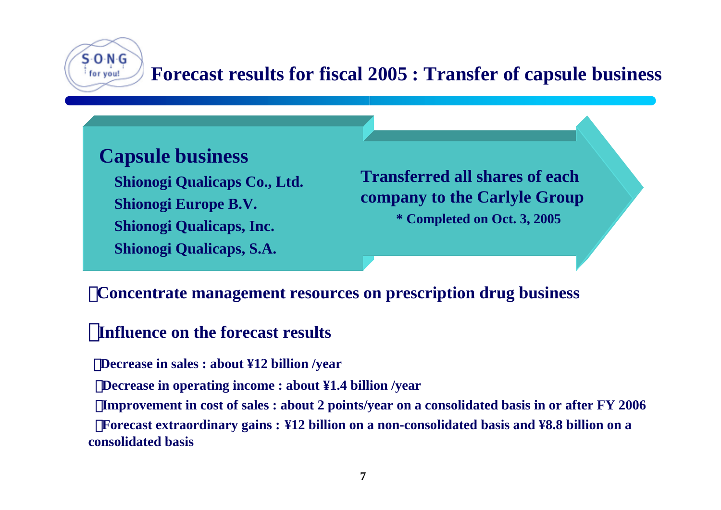

## **Forecast results for fiscal 2005 : Transfer of capsule business**

## **Capsule business**

**Shionogi Qualicaps Co., Ltd. Shionogi Europe B.V. Shionogi Qualicaps, Inc. Shionogi Qualicaps, S.A.**

**Transferred all shares of eachcompany to the Carlyle Group \* Completed on Oct. 3, 2005**

#### ・**Concentrate management resources on prescription drug business**

### **Influence on the forecast results**

・**Decrease in sales : about ¥12 billion /year**

**Decrease in operating income : about ¥1.4 billion /year** 

**Improvement in cost of sales : about 2 points/year on a consolidated basis in or after FY 2006** 

・**Forecast extraordinary gains : ¥12 billion on a non-consolidated basis and ¥8.8 billion on a consolidated basis**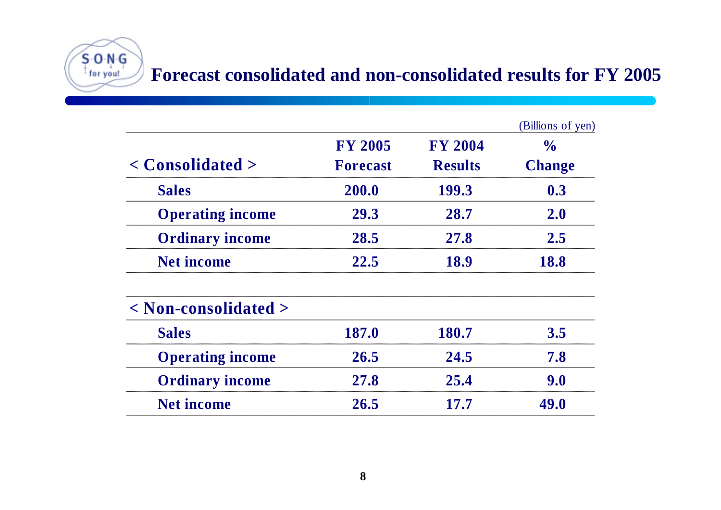## **Forecast consolidated and non-consolidated results for FY 2005**

|                                      |                 |                | (Billions of yen) |
|--------------------------------------|-----------------|----------------|-------------------|
|                                      | <b>FY 2005</b>  | <b>FY 2004</b> | $\frac{0}{0}$     |
| $\langle$ Consolidated $\rangle$     | <b>Forecast</b> | <b>Results</b> | <b>Change</b>     |
| <b>Sales</b>                         | 200.0           | 199.3          | 0.3               |
| <b>Operating income</b>              | 29.3            | 28.7           | 2.0               |
| <b>Ordinary income</b>               | 28.5            | 27.8           | 2.5               |
| <b>Net income</b>                    | 22.5            | 18.9           | 18.8              |
| $\langle$ Non-consolidated $\rangle$ |                 |                |                   |
| <b>Sales</b>                         | 187.0           | 180.7          | 3.5               |
| <b>Operating income</b>              | 26.5            | 24.5           | 7.8               |
| <b>Ordinary income</b>               | 27.8            | 25.4           | 9.0               |
| <b>Net income</b>                    | 26.5            | 17.7           | 49.0              |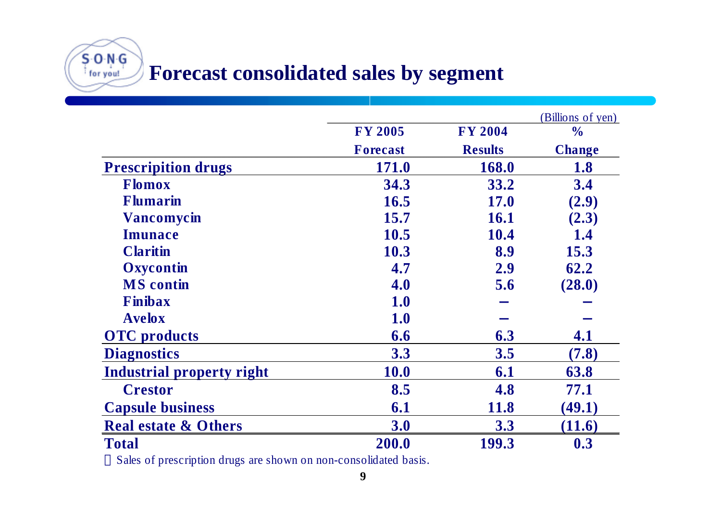**Forecast consolidated sales by segment**

SONG for you!

|                                  |                 |                | (Billions of yen) |
|----------------------------------|-----------------|----------------|-------------------|
|                                  | <b>FY 2005</b>  | <b>FY 2004</b> | $\frac{0}{0}$     |
|                                  | <b>Forecast</b> | <b>Results</b> | <b>Change</b>     |
| <b>Prescripition drugs</b>       | <b>171.0</b>    | 168.0          | 1.8               |
| <b>Flomox</b>                    | 34.3            | 33.2           | 3.4               |
| <b>Flumarin</b>                  | 16.5            | <b>17.0</b>    | (2.9)             |
| <b>Vancomycin</b>                | 15.7            | 16.1           | (2.3)             |
| <b>Imunace</b>                   | 10.5            | 10.4           | 1.4               |
| <b>Claritin</b>                  | 10.3            | 8.9            | 15.3              |
| Oxycontin                        | 4.7             | 2.9            | 62.2              |
| <b>MS</b> contin                 | 4.0             | 5.6            | (28.0)            |
| Finibax                          | <b>1.0</b>      |                |                   |
| <b>Avelox</b>                    | <b>1.0</b>      |                |                   |
| <b>OTC</b> products              | 6.6             | 6.3            | 4.1               |
| <b>Diagnostics</b>               | 3.3             | 3.5            | (7.8)             |
| <b>Industrial property right</b> | <b>10.0</b>     | 6.1            | 63.8              |
| <b>Crestor</b>                   | 8.5             | 4.8            | 77.1              |
| <b>Capsule business</b>          | 6.1             | <b>11.8</b>    | (49.1)            |
| <b>Real estate &amp; Others</b>  | 3.0             | 3.3            | (11.6)            |
| <b>Total</b>                     | 200.0           | 199.3          | 0.3               |

Sales of prescription drugs are shown on non-consolidated basis.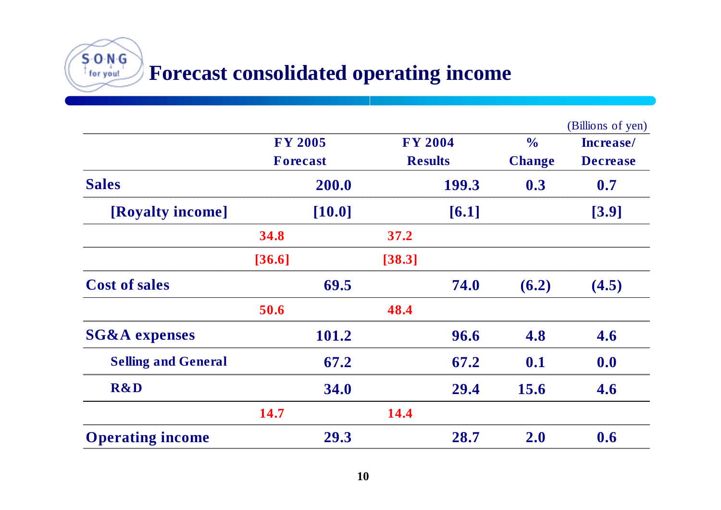**Forecast consolidated operating income**

 $50N$ for you!

|                            |                            |        |                |       |               | (Billions of yen) |           |
|----------------------------|----------------------------|--------|----------------|-------|---------------|-------------------|-----------|
|                            | <b>FY 2005</b><br>Forecast |        | <b>FY 2004</b> |       |               | $\frac{1}{2}$     | Increase/ |
|                            |                            |        | <b>Results</b> |       | <b>Change</b> | <b>Decrease</b>   |           |
| <b>Sales</b>               |                            | 200.0  |                | 199.3 | 0.3           | 0.7               |           |
| [Royalty income]           |                            | [10.0] |                | [6.1] |               | [3.9]             |           |
|                            | 34.8                       |        | 37.2           |       |               |                   |           |
|                            | [36.6]                     |        | [38.3]         |       |               |                   |           |
| <b>Cost of sales</b>       |                            | 69.5   |                | 74.0  | (6.2)         | (4.5)             |           |
|                            | 50.6                       |        | 48.4           |       |               |                   |           |
| <b>SG&amp;A</b> expenses   |                            | 101.2  |                | 96.6  | 4.8           | 4.6               |           |
| <b>Selling and General</b> |                            | 67.2   |                | 67.2  | 0.1           | 0.0               |           |
| <b>R&amp;D</b>             |                            | 34.0   |                | 29.4  | 15.6          | 4.6               |           |
|                            | 14.7                       |        | 14.4           |       |               |                   |           |
| <b>Operating income</b>    |                            | 29.3   |                | 28.7  | 2.0           | 0.6               |           |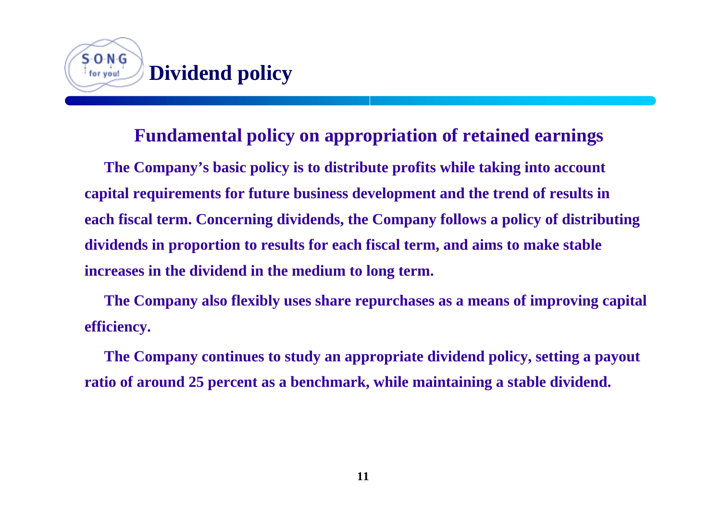

#### **Fundamental policy on appropriation of retained earnings**

**The Company's basic policy is to distribute profits while taking into account capital requirements for future business development and the trend of results in each fiscal term. Concerning dividends, the Company follows a policy of distributing dividends in proportion to results for each fiscal term, and aims to make stable increases in the dividend in the medium to long term.**

**The Company also flexibly uses share repurchases as a means of improving capital efficiency.**

**The Company continues to study an appropriate dividend policy, setting a payout ratio of around 25 percent as a benchmark, while maintaining a stable dividend.**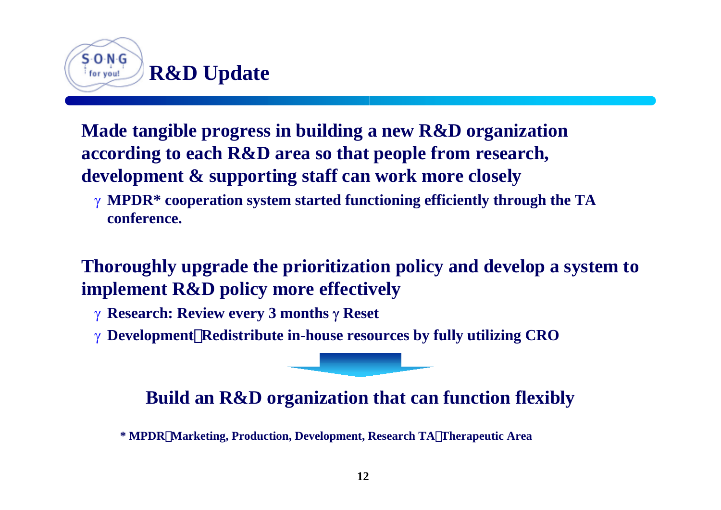

**Made tangible progress in building a new R&D organization according to each R&D area so that people from research, development & supporting staff can work more closely**

γ **MPDR\* cooperation system started functioning efficiently through the TA conference.**

**Thoroughly upgrade the prioritization policy and develop a system to implement R&D policy more effectively**

- γ **Research: Review every 3 months** γ **Reset**
- γ **Development**:**Redistribute in-house resources by fully utilizing CRO**

### **Build an R&D organization that can function flexibly**

**\* MPDR**:**Marketing, Production, Development, Research TA**:**Therapeutic Area**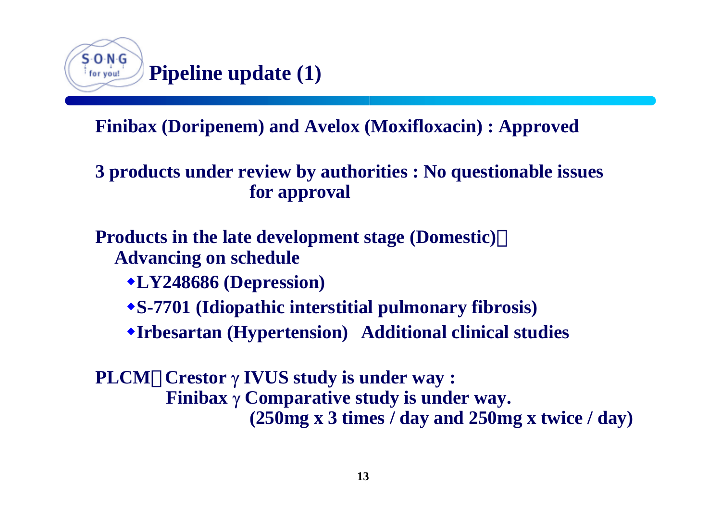

## **Finibax (Doripenem) and Avelox (Moxifloxacin) : Approved**

### **3 products under review by authorities : No questionable issues for approval**

### **Products in the late development stage (Domestic)**: **Advancing on schedule**

- **LY248686 (Depression)**
- **S-7701 (Idiopathic interstitial pulmonary fibrosis)**
- **Irbesartan (Hypertension) Additional clinical studies**
- **PLCM**: **Crestor** γ **IVUS study is under way : Finibax** γ **Comparative study is under way. (250mg x 3 times / day and 250mg x twice / day)**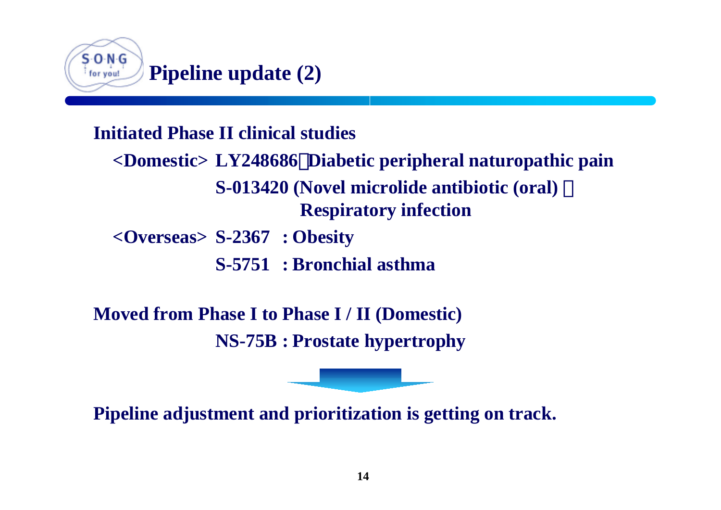

## **Initiated Phase II clinical studies<Domestic> LY248686**:**Diabetic peripheral naturopathic pain S-013420 (Novel microlide antibiotic (oral)** : **Respiratory infection <Overseas> S-2367 : Obesity S-5751 : Bronchial asthma**

**Moved from Phase I to Phase I / II (Domestic) NS-75B : Prostate hypertrophy**

**Pipeline adjustment and prioritization is getting on track.**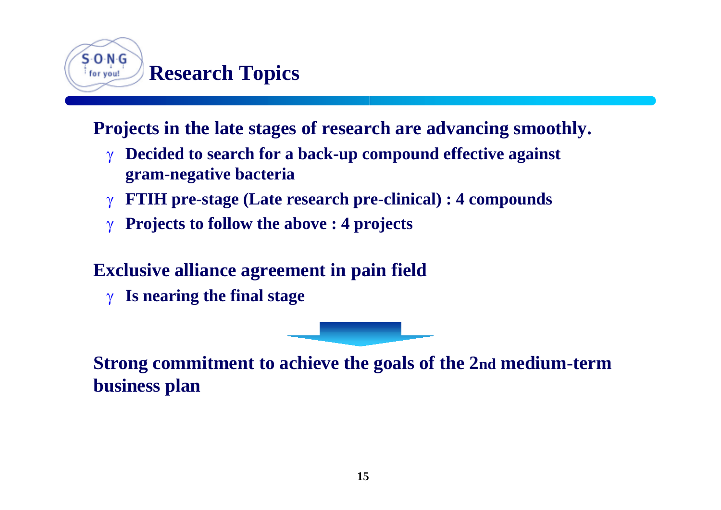

**Projects in the late stages of research are advancing smoothly.**

- **Decided to search for a back-up compound effective against gram-negative bacteria**
- **FTIH pre-stage (Late research pre-clinical) : 4 compounds**
- γ **Projects to follow the above : 4 projects**

## **Exclusive alliance agreement in pain field**

γ **Is nearing the final stage**

**Strong commitment to achieve the goals of the 2nd medium-term business plan**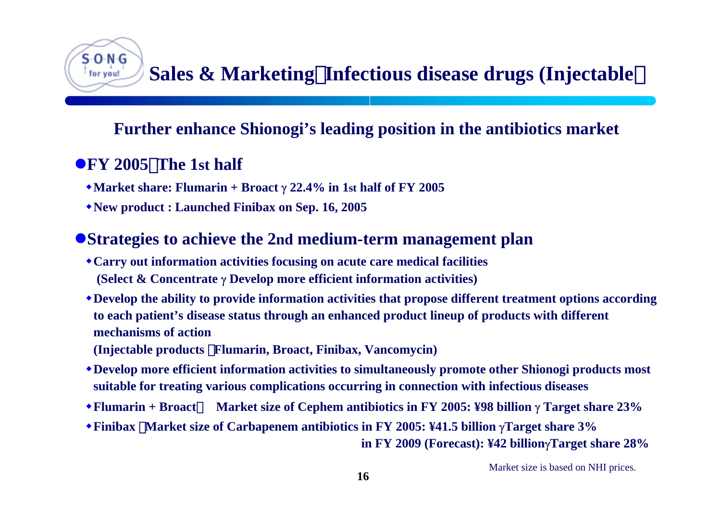## **Sales & Marketing**:**Infectious disease drugs (Injectable**)

### **Further enhance Shionogi's leading position in the antibiotics market**

### **• FY 2005** The 1st half

S O N G for you!

- **Market share: Flumarin + Broact** γ **22.4% in 1st half of FY 2005**
- **New product : Launched Finibax on Sep. 16, 2005**

### **• Strategies to achieve the 2nd medium-term management plan**

- **Carry out information activities focusing on acute care medical facilities (Select & Concentrate** γ **Develop more efficient information activities)**
- **Develop the ability to provide information activities that propose different treatment options according to each patient's disease status through an enhanced product lineup of products with different mechanisms of action**
- **(Injectable products** :**Flumarin, Broact, Finibax, Vancomycin)**
- **Develop more efficient information activities to simultaneously promote other Shionogi products most suitable for treating various complications occurring in connection with infectious diseases**
- **Flumarin + Broact**:**Market size of Cephem antibiotics in FY 2005: ¥98 billion** γ **Target share 23%**
- **Finibax** :**Market size of Carbapenem antibiotics in FY 2005: ¥41.5 billion** γ**Target share 3%**

 **in FY 2009 (Forecast): ¥42 billion**γ**Target share 28%**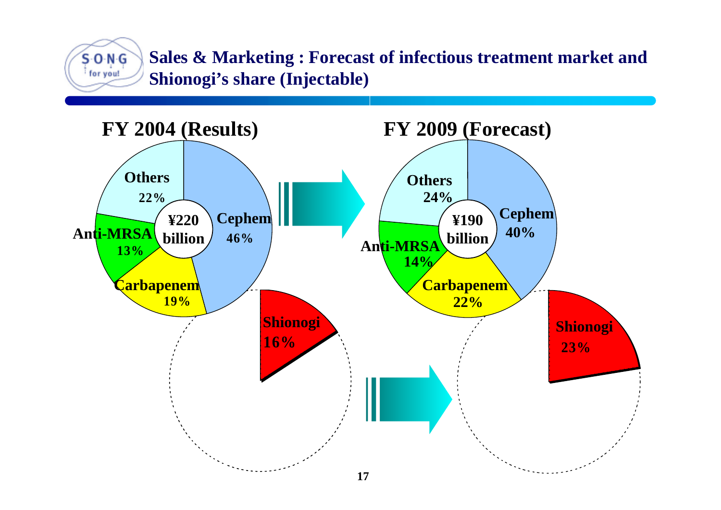**Sales & Marketing : Forecast of infectious treatment market and Shionogi's share (Injectable)**

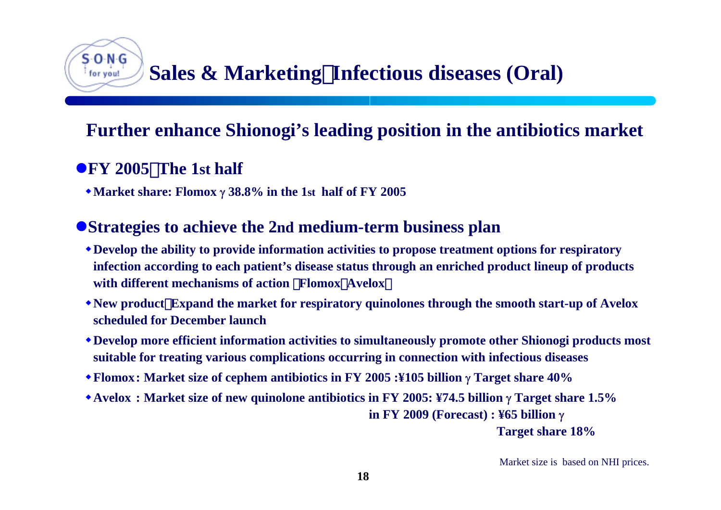## **Sales & Marketing**:**Infectious diseases (Oral)**

## **Further enhance Shionogi's leading position in the antibiotics market**

### **•FY** 2005 The 1st half

⊱O-N-G for you!

**Market share: Flomox** γ **38.8% in the 1st half of FY 2005**

### **• Strategies to achieve the 2nd medium-term business plan**

- **Develop the ability to provide information activities to propose treatment options for respiratory infection according to each patient's disease status through an enriched product lineup of products with different mechanisms of action Flomox Avelox**
- **New product**:**Expand the market for respiratory quinolones through the smooth start-up of Avelox scheduled for December launch**
- **Develop more efficient information activities to simultaneously promote other Shionogi products most suitable for treating various complications occurring in connection with infectious diseases**
- **Flomox: Market size of cephem antibiotics in FY 2005 :¥105 billion** γ **Target share 40%**
- **Avelox : Market size of new quinolone antibiotics in FY 2005: ¥74.5 billion** γ **Target share 1.5% in FY 2009 (Forecast) : ¥65 billion** γ

**Target share 18%**

Market size is based on NHI prices.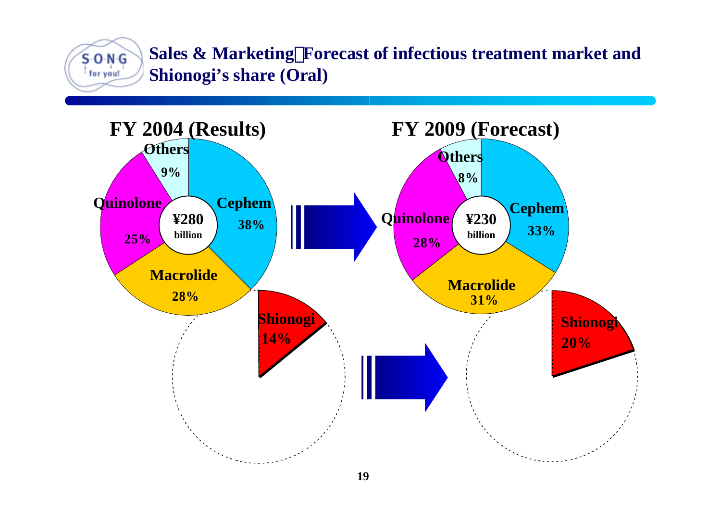**Sales & Marketing**:**Forecast of infectious treatment market and**  $S$  O N  $G$ **Shionogi's share (Oral)** for you!

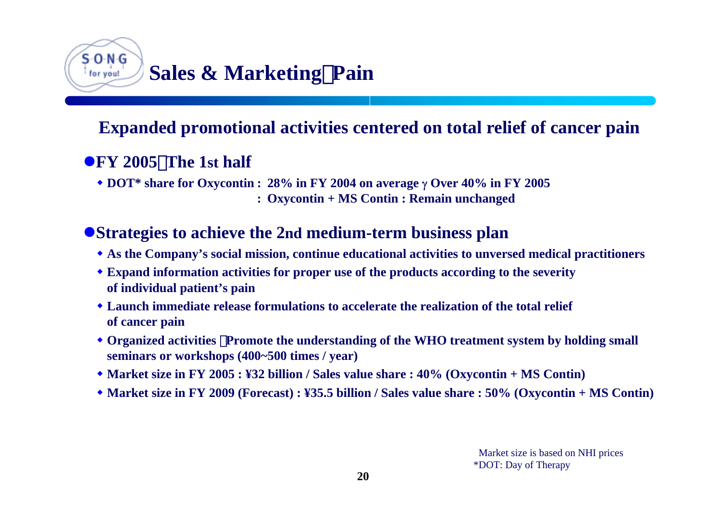#### S-O-N-G **Sales & Marketing**:**Pain** for you!

## **Expanded promotional activities centered on total relief of cancer pain**

### z**FY 2005**:**The 1st half**

**DOT\* share for Oxycontin : 28% in FY 2004 on average** γ **Over 40% in FY 2005**

**: Oxycontin + MS Contin : Remain unchanged**

### **• Strategies to achieve the 2nd medium-term business plan**

- **As the Company's social mission, continue educational activities to unversed medical practitioners**
- **Expand information activities for proper use of the products according to the severity of individual patient's pain**
- **Launch immediate release formulations to accelerate the realization of the total relief of cancer pain**
- Organized activities Promote the understanding of the WHO treatment system by holding small **seminars or workshops (400~500 times / year)**
- **Market size in FY 2005 : ¥32 billion / Sales value share : 40% (Oxycontin + MS Contin)**
- **Market size in FY 2009 (Forecast) : ¥35.5 billion / Sales value share : 50% (Oxycontin + MS Contin)**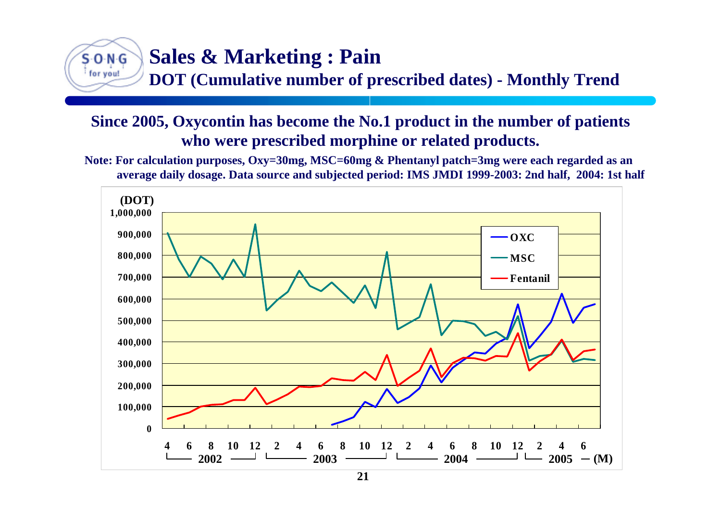# $S O N G$ for you!

## **Sales & Marketing : Pain**

**DOT (Cumulative number of prescribed dates) - Monthly Trend**

### **Since 2005, Oxycontin has become the No.1 product in the number of patients who were prescribed morphine or related products.**

**Note: For calculation purposes, Oxy=30mg, MSC=60mg & Phentanyl patch=3mg were each regarded as an average daily dosage. Data source and subjected period: IMS JMDI 1999-2003: 2nd half, 2004: 1st half**

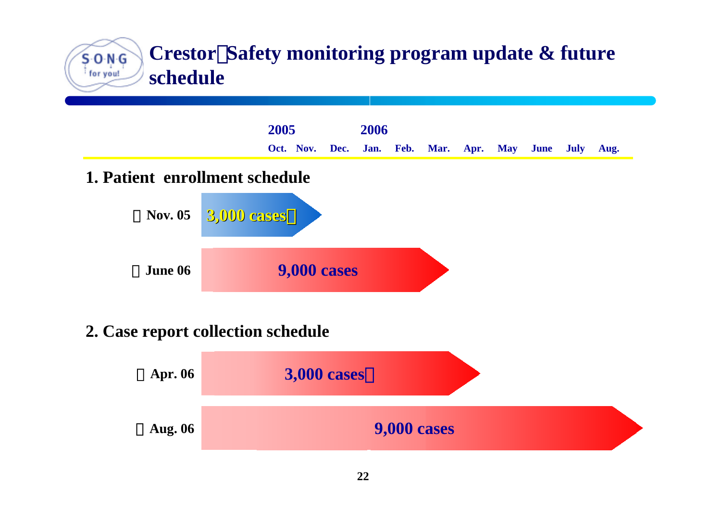#### **Crestor**:**Safety monitoring program update & future**  $S O N G$ for you! **schedule**



### **2. Case report collection schedule**